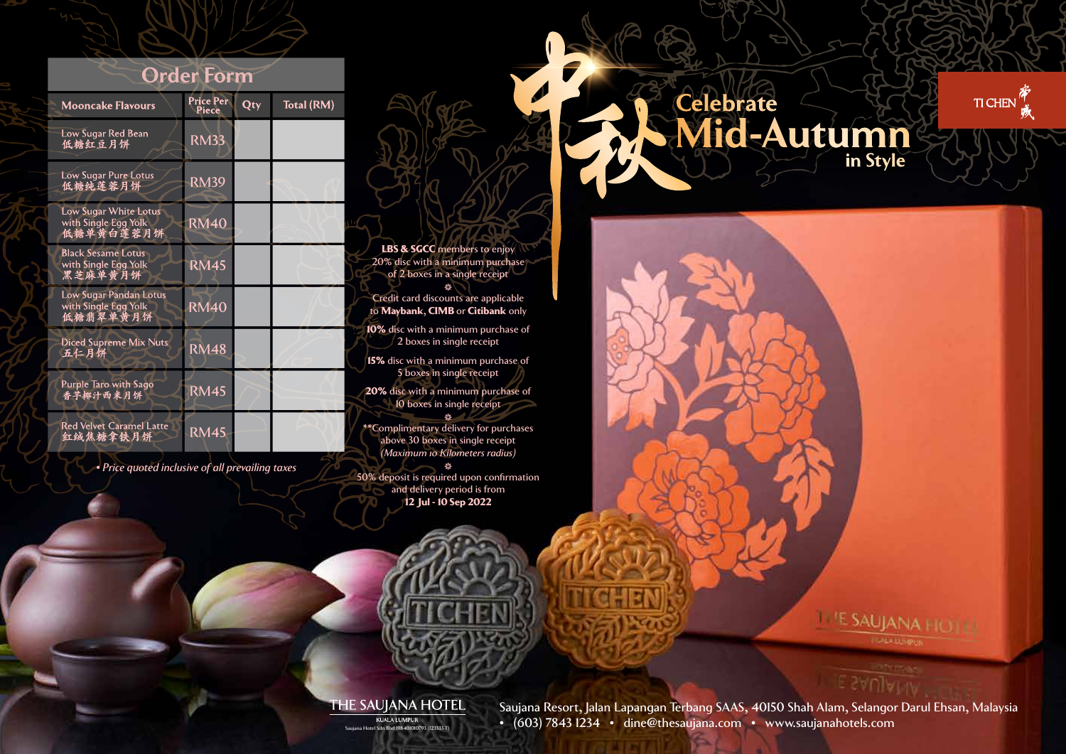## **Order Form**

| <b>Mooncake Flavours</b>                                     | Price Per<br>Piece | $\overline{\text{Qty}}$ | Total (RM) |
|--------------------------------------------------------------|--------------------|-------------------------|------------|
| Low Sugar Red Bean<br>低糖红豆月饼                                 | <b>RM33</b>        |                         |            |
| Low Sugar Pure Lotus<br>低糖纯莲蓉月饼                              | <b>RM39</b>        |                         |            |
| Low Sugar White Lotus<br>with Single Egg Yolk<br>低糖单黄白莲蓉月饼   | <b>RM40</b>        |                         |            |
| <b>Black Sesame Lotus</b><br>with Single Egg Yolk<br>黑芝麻单黄月饼 | <b>RM45</b>        |                         |            |
| Low Sugar Pandan Lotus<br>with Single Egg Yolk<br>低糖翡翠单黄月饼   | <b>RM40</b>        |                         |            |
| Diced Supreme Mix Nuts<br>五仁月饼                               | <b>RM48</b>        |                         |            |
| Purple Taro with Sago<br>香芋椰汁西米月饼                            | <b>RM45</b>        |                         |            |
| <b>Red Velvet Caramel Latte</b><br>红绒焦糖拿铁月饼                  | <b>RM45</b>        |                         |            |

*• Price quoted inclusive of all prevailing taxes*

20% disc with a minimum purchase of 2 boxes in a single receipt 绦 Credit card discounts are applicable to Maybank, CIMB or Citibank only 10% disc with a minimum purchase of 2 boxes in single receipt 15% disc with a minimum purchase of 5 boxes in single receipt 20% disc with a minimum purchase of 10 boxes in single receipt  $\mathbf{M}$ \*\*Complimentary delivery for purchases above 30 boxes in single receipt *(Maximum 10 Kilometers radius)*

LBS & SGCC members to enjoy

₩ 50% deposit is required upon confirmation and delivery period is from 12 Jul - 10 Sep 2022

Celebrate<br>Mid-Autumn TI CHEN in Style

> **ESAUJANA HOTE CALLAD IPUL**

## THE SAUJANA HOTEL

Saujana Resort, Jalan Lapangan Terbang SAAS, 40150 Shah Alam, Selangor Darul Ehsan, Malaysia  $\overline{\mathcal{R}}$  KUALA LUMPUR<br>B Hotel Sdn Bhd 1984010100793 (123333-T) (603) 7843 1234 • dine@thesaujana.com • www.saujanahotels.com